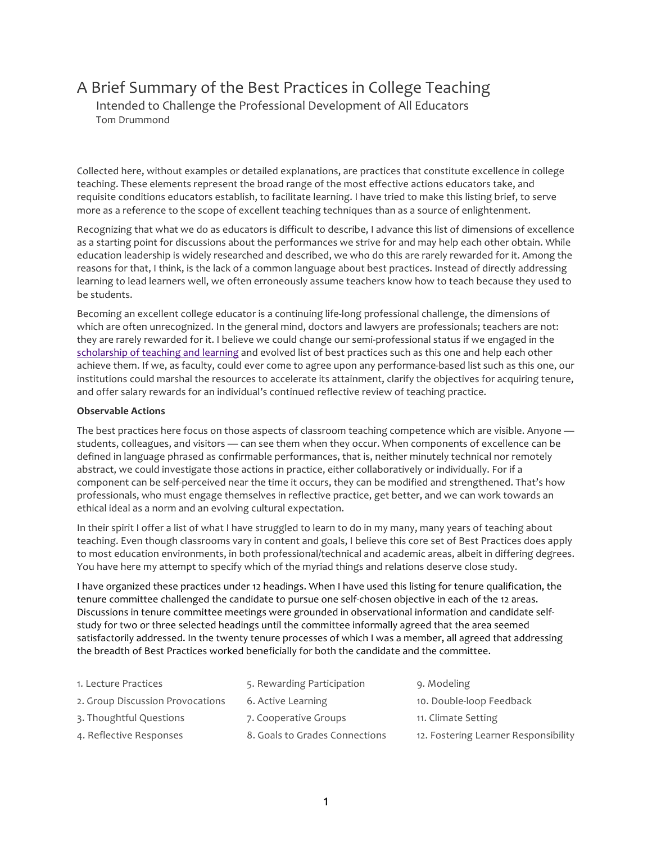# A Brief Summary of the Best Practices in College Teaching

Intended to Challenge the Professional Development of All Educators Tom Drummond

Collected here, without examples or detailed explanations, are practices that constitute excellence in college teaching. These elements represent the broad range of the most effective actions educators take, and requisite conditions educators establish, to facilitate learning. I have tried to make this listing brief, to serve more as a reference to the scope of excellent teaching techniques than as a source of enlightenment.

Recognizing that what we do as educators is difficult to describe, I advance this list of dimensions of excellence as a starting point for discussions about the performances we strive for and may help each other obtain. While education leadership is widely researched and described, we who do this are rarely rewarded for it. Among the reasons for that, I think, is the lack of a common language about best practices. Instead of directly addressing learning to lead learners well, we often erroneously assume teachers know how to teach because they used to be students.

Becoming an excellent college educator is a continuing life-long professional challenge, the dimensions of which are often unrecognized. In the general mind, doctors and lawyers are professionals; teachers are not: they are rarely rewarded for it. I believe we could change our semi-professional status if we engaged in the scholarship of teaching and learning and evolved list of best practices such as this one and help each other achieve them. If we, as faculty, could ever come to agree upon any performance-based list such as this one, our institutions could marshal the resources to accelerate its attainment, clarify the objectives for acquiring tenure, and offer salary rewards for an individual's continued reflective review of teaching practice.

# **Observable Actions**

The best practices here focus on those aspects of classroom teaching competence which are visible. Anyone students, colleagues, and visitors — can see them when they occur. When components of excellence can be defined in language phrased as confirmable performances, that is, neither minutely technical nor remotely abstract, we could investigate those actions in practice, either collaboratively or individually. For if a component can be self-perceived near the time it occurs, they can be modified and strengthened. That's how professionals, who must engage themselves in reflective practice, get better, and we can work towards an ethical ideal as a norm and an evolving cultural expectation.

In their spirit I offer a list of what I have struggled to learn to do in my many, many years of teaching about teaching. Even though classrooms vary in content and goals, I believe this core set of Best Practices does apply to most education environments, in both professional/technical and academic areas, albeit in differing degrees. You have here my attempt to specify which of the myriad things and relations deserve close study.

I have organized these practices under 12 headings. When I have used this listing for tenure qualification, the tenure committee challenged the candidate to pursue one self-chosen objective in each of the 12 areas. Discussions in tenure committee meetings were grounded in observational information and candidate selfstudy for two or three selected headings until the committee informally agreed that the area seemed satisfactorily addressed. In the twenty tenure processes of which I was a member, all agreed that addressing the breadth of Best Practices worked beneficially for both the candidate and the committee.

| 1. Lecture Practices             | 5. Rewarding Participation     | 9. Modeling                          |
|----------------------------------|--------------------------------|--------------------------------------|
| 2. Group Discussion Provocations | 6. Active Learning             | 10. Double-loop Feedback             |
| 3. Thoughtful Questions          | 7. Cooperative Groups          | 11. Climate Setting                  |
| 4. Reflective Responses          | 8. Goals to Grades Connections | 12. Fostering Learner Responsibility |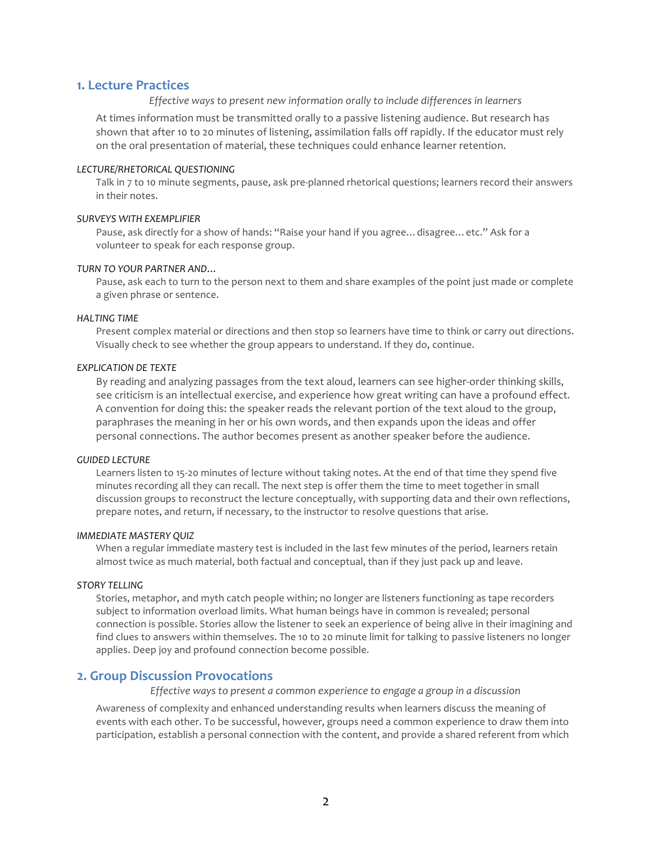# **1. Lecture Practices**

### *Effective* ways to present new information orally to include differences in learners

At times information must be transmitted orally to a passive listening audience. But research has shown that after 10 to 20 minutes of listening, assimilation falls off rapidly. If the educator must rely on the oral presentation of material, these techniques could enhance learner retention.

#### *LECTURE/RHETORICAL QUESTIONING*

Talk in 7 to 10 minute segments, pause, ask pre-planned rhetorical questions; learners record their answers in their notes.

### *SURVEYS WITH EXEMPLIFIER*

Pause, ask directly for a show of hands: "Raise your hand if you agree... disagree... etc." Ask for a volunteer to speak for each response group.

# *TURN TO YOUR PARTNER AND…*

Pause, ask each to turn to the person next to them and share examples of the point just made or complete a given phrase or sentence.

#### *HALTING TIME*

Present complex material or directions and then stop so learners have time to think or carry out directions. Visually check to see whether the group appears to understand. If they do, continue.

# *EXPLICATION DE TEXTE*

By reading and analyzing passages from the text aloud, learners can see higher-order thinking skills, see criticism is an intellectual exercise, and experience how great writing can have a profound effect. A convention for doing this: the speaker reads the relevant portion of the text aloud to the group, paraphrases the meaning in her or his own words, and then expands upon the ideas and offer personal connections. The author becomes present as another speaker before the audience.

#### *GUIDED LECTURE*

Learners listen to 15-20 minutes of lecture without taking notes. At the end of that time they spend five minutes recording all they can recall. The next step is offer them the time to meet together in small discussion groups to reconstruct the lecture conceptually, with supporting data and their own reflections, prepare notes, and return, if necessary, to the instructor to resolve questions that arise.

#### **IMMEDIATE MASTERY QUIZ**

When a regular immediate mastery test is included in the last few minutes of the period, learners retain almost twice as much material, both factual and conceptual, than if they just pack up and leave.

### *STORY TELLING*

Stories, metaphor, and myth catch people within; no longer are listeners functioning as tape recorders subject to information overload limits. What human beings have in common is revealed; personal connection is possible. Stories allow the listener to seek an experience of being alive in their imagining and find clues to answers within themselves. The 10 to 20 minute limit for talking to passive listeners no longer applies. Deep joy and profound connection become possible.

# **2. Group Discussion Provocations**

*Effective* ways to present a common experience to engage a group in a discussion

Awareness of complexity and enhanced understanding results when learners discuss the meaning of events with each other. To be successful, however, groups need a common experience to draw them into participation, establish a personal connection with the content, and provide a shared referent from which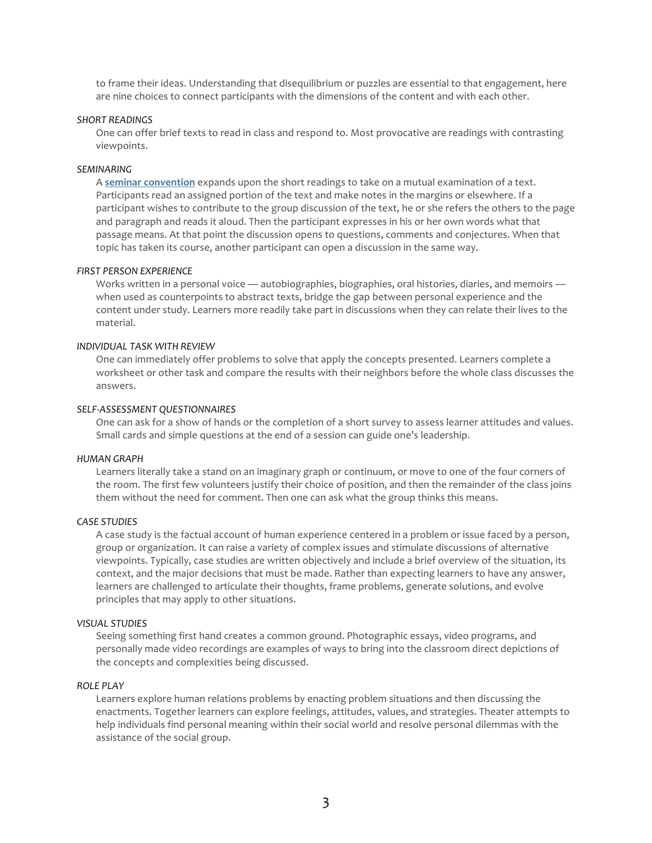to frame their ideas. Understanding that disequilibrium or puzzles are essential to that engagement, here are nine choices to connect participants with the dimensions of the content and with each other.

#### *SHORT READINGS*

One can offer brief texts to read in class and respond to. Most provocative are readings with contrasting viewpoints.

### *SEMINARING*

A seminar convention expands upon the short readings to take on a mutual examination of a text. Participants read an assigned portion of the text and make notes in the margins or elsewhere. If a participant wishes to contribute to the group discussion of the text, he or she refers the others to the page and paragraph and reads it aloud. Then the participant expresses in his or her own words what that passage means. At that point the discussion opens to questions, comments and conjectures. When that topic has taken its course, another participant can open a discussion in the same way.

#### **FIRST PERSON EXPERIENCE**

Works written in a personal voice — autobiographies, biographies, oral histories, diaries, and memoirs when used as counterpoints to abstract texts, bridge the gap between personal experience and the content under study. Learners more readily take part in discussions when they can relate their lives to the material.

### *INDIVIDUAL TASK WITH REVIEW*

One can immediately offer problems to solve that apply the concepts presented. Learners complete a worksheet or other task and compare the results with their neighbors before the whole class discusses the answers.

### *SELF-ASSESSMENT QUESTIONNAIRES*

One can ask for a show of hands or the completion of a short survey to assess learner attitudes and values. Small cards and simple questions at the end of a session can guide one's leadership.

#### *HUMAN GRAPH*

Learners literally take a stand on an imaginary graph or continuum, or move to one of the four corners of the room. The first few volunteers justify their choice of position, and then the remainder of the class joins them without the need for comment. Then one can ask what the group thinks this means.

# *CASE STUDIES*

A case study is the factual account of human experience centered in a problem or issue faced by a person, group or organization. It can raise a variety of complex issues and stimulate discussions of alternative viewpoints. Typically, case studies are written objectively and include a brief overview of the situation, its context, and the major decisions that must be made. Rather than expecting learners to have any answer, learners are challenged to articulate their thoughts, frame problems, generate solutions, and evolve principles that may apply to other situations.

#### *VISUAL STUDIES*

Seeing something first hand creates a common ground. Photographic essays, video programs, and personally made video recordings are examples of ways to bring into the classroom direct depictions of the concepts and complexities being discussed.

# *ROLE PLAY*

Learners explore human relations problems by enacting problem situations and then discussing the enactments. Together learners can explore feelings, attitudes, values, and strategies. Theater attempts to help individuals find personal meaning within their social world and resolve personal dilemmas with the assistance of the social group.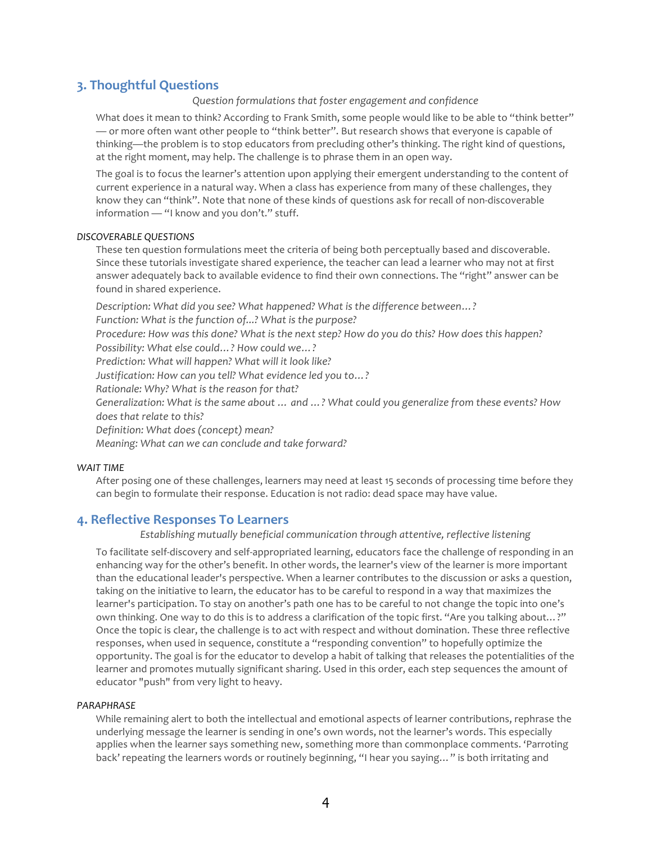# **3. Thoughtful Questions**

# *Question formulations that foster engagement and confidence*

What does it mean to think? According to Frank Smith, some people would like to be able to "think better" — or more often want other people to "think better". But research shows that everyone is capable of thinking—the problem is to stop educators from precluding other's thinking. The right kind of questions, at the right moment, may help. The challenge is to phrase them in an open way.

The goal is to focus the learner's attention upon applying their emergent understanding to the content of current experience in a natural way. When a class has experience from many of these challenges, they know they can "think". Note that none of these kinds of questions ask for recall of non-discoverable  $information - "I know and you don't." stuff.$ 

### *DISCOVERABLE QUESTIONS*

These ten question formulations meet the criteria of being both perceptually based and discoverable. Since these tutorials investigate shared experience, the teacher can lead a learner who may not at first answer adequately back to available evidence to find their own connections. The "right" answer can be found in shared experience.

Description: What did you see? What happened? What is the difference between...?

Function: What is the function of...? What is the purpose?

*Procedure: How was this done? What is the next step? How do you do this? How does this happen? Possibility: What else could...?* How could we...?

Prediction: What will happen? What will it look like?

Justification: How can you tell? What evidence led you to...?

*Rationale: Why? What is the reason for that?* 

Generalization: What is the same about ... and ...? What could you generalize from these events? How does that relate to this?

*Definition: What does (concept) mean?*

*Meaning: What can we can conclude and take forward?* 

# *WAIT TIME*

After posing one of these challenges, learners may need at least 15 seconds of processing time before they can begin to formulate their response. Education is not radio: dead space may have value.

# **4. Reflective Responses To Learners**

Establishing mutually beneficial communication through attentive, reflective listening

To facilitate self-discovery and self-appropriated learning, educators face the challenge of responding in an enhancing way for the other's benefit. In other words, the learner's view of the learner is more important than the educational leader's perspective. When a learner contributes to the discussion or asks a question, taking on the initiative to learn, the educator has to be careful to respond in a way that maximizes the learner's participation. To stay on another's path one has to be careful to not change the topic into one's own thinking. One way to do this is to address a clarification of the topic first. "Are you talking about...?" Once the topic is clear, the challenge is to act with respect and without domination. These three reflective responses, when used in sequence, constitute a "responding convention" to hopefully optimize the opportunity. The goal is for the educator to develop a habit of talking that releases the potentialities of the learner and promotes mutually significant sharing. Used in this order, each step sequences the amount of educator "push" from very light to heavy.

# *PARAPHRASE*

While remaining alert to both the intellectual and emotional aspects of learner contributions, rephrase the underlying message the learner is sending in one's own words, not the learner's words. This especially applies when the learner says something new, something more than commonplace comments. 'Parroting back' repeating the learners words or routinely beginning, "I hear you saying..." is both irritating and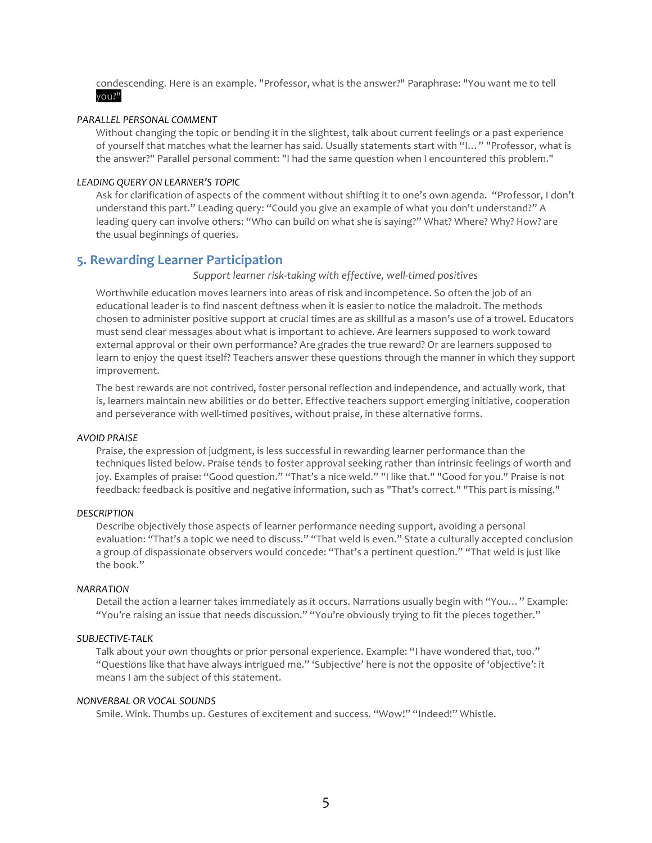condescending. Here is an example. "Professor, what is the answer?" Paraphrase: "You want me to tell you?"

### *PARALLEL PERSONAL COMMENT*

Without changing the topic or bending it in the slightest, talk about current feelings or a past experience of yourself that matches what the learner has said. Usually statements start with "I..." "Professor, what is the answer?" Parallel personal comment: "I had the same question when I encountered this problem."

### *LEADING QUERY ON LEARNER'S TOPIC*

Ask for clarification of aspects of the comment without shifting it to one's own agenda. "Professor, I don't understand this part." Leading query: "Could you give an example of what you don't understand?" A leading query can involve others: "Who can build on what she is saying?" What? Where? Why? How? are the usual beginnings of queries.

# **5. Rewarding Learner Participation**

Support learner risk-taking with effective, well-timed positives

Worthwhile education moves learners into areas of risk and incompetence. So often the job of an educational leader is to find nascent deftness when it is easier to notice the maladroit. The methods chosen to administer positive support at crucial times are as skillful as a mason's use of a trowel. Educators must send clear messages about what is important to achieve. Are learners supposed to work toward external approval or their own performance? Are grades the true reward? Or are learners supposed to learn to enjoy the quest itself? Teachers answer these questions through the manner in which they support improvement.

The best rewards are not contrived, foster personal reflection and independence, and actually work, that is, learners maintain new abilities or do better. Effective teachers support emerging initiative, cooperation and perseverance with well-timed positives, without praise, in these alternative forms.

#### *AVOID PRAISE*

Praise, the expression of judgment, is less successful in rewarding learner performance than the techniques listed below. Praise tends to foster approval seeking rather than intrinsic feelings of worth and joy. Examples of praise: "Good question." "That's a nice weld." "I like that." "Good for you." Praise is not feedback: feedback is positive and negative information, such as "That's correct." "This part is missing."

#### *DESCRIPTION*

Describe objectively those aspects of learner performance needing support, avoiding a personal evaluation: "That's a topic we need to discuss." "That weld is even." State a culturally accepted conclusion a group of dispassionate observers would concede: "That's a pertinent question." "That weld is just like the book."

#### *NARRATION*

Detail the action a learner takes immediately as it occurs. Narrations usually begin with "You..." Example: "You're raising an issue that needs discussion." "You're obviously trying to fit the pieces together."

# *SUBJECTIVE-TALK*

Talk about your own thoughts or prior personal experience. Example: "I have wondered that, too." "Questions like that have always intrigued me." 'Subjective' here is not the opposite of 'objective': it means I am the subject of this statement.

# *NONVERBAL OR VOCAL SOUNDS*

Smile. Wink. Thumbs up. Gestures of excitement and success. "Wow!" "Indeed!" Whistle.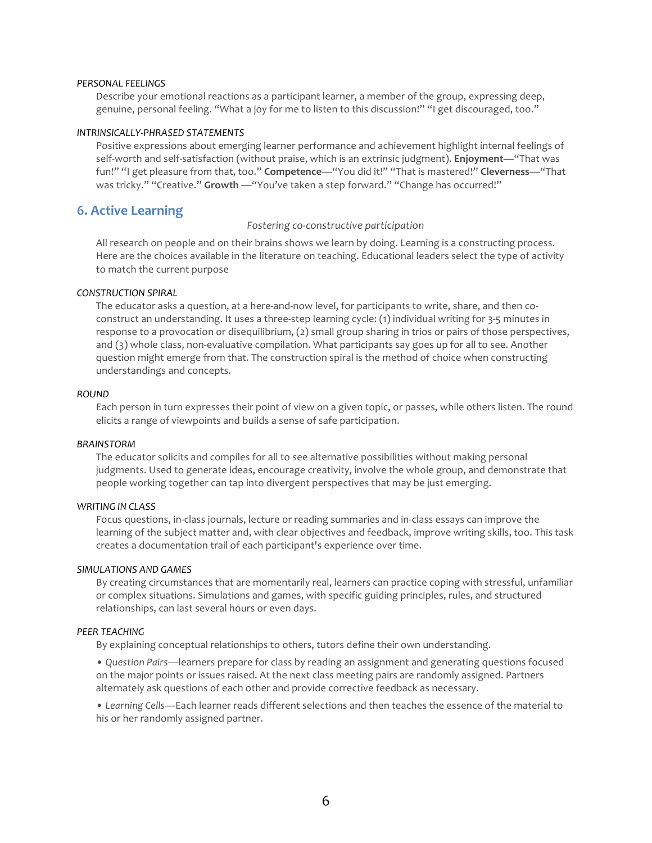# *PERSONAL FEELINGS*

Describe your emotional reactions as a participant learner, a member of the group, expressing deep, genuine, personal feeling. "What a joy for me to listen to this discussion!" "I get discouraged, too."

#### *INTRINSICALLY-PHRASED STATEMENTS*

Positive expressions about emerging learner performance and achievement highlight internal feelings of self-worth and self-satisfaction (without praise, which is an extrinsic judgment). Enjoyment—"That was fun!" "I get pleasure from that, too." **Competence**—"You did it!" "That is mastered!" **Cleverness**—"That was tricky." "Creative." Growth - "You've taken a step forward." "Change has occurred!"

# **6. Active Learning**

#### *Fostering co-constructive participation*

All research on people and on their brains shows we learn by doing. Learning is a constructing process. Here are the choices available in the literature on teaching. Educational leaders select the type of activity to match the current purpose

### *CONSTRUCTION SPIRAL*

The educator asks a question, at a here-and-now level, for participants to write, share, and then coconstruct an understanding. It uses a three-step learning cycle: (1) individual writing for 3-5 minutes in response to a provocation or disequilibrium,  $(2)$  small group sharing in trios or pairs of those perspectives, and (3) whole class, non-evaluative compilation. What participants say goes up for all to see. Another question might emerge from that. The construction spiral is the method of choice when constructing understandings and concepts.

#### *ROUND*

Each person in turn expresses their point of view on a given topic, or passes, while others listen. The round elicits a range of viewpoints and builds a sense of safe participation.

#### *BRAINSTORM*

The educator solicits and compiles for all to see alternative possibilities without making personal judgments. Used to generate ideas, encourage creativity, involve the whole group, and demonstrate that people working together can tap into divergent perspectives that may be just emerging.

### *WRITING IN CLASS*

Focus questions, in-class journals, lecture or reading summaries and in-class essays can improve the learning of the subject matter and, with clear objectives and feedback, improve writing skills, too. This task creates a documentation trail of each participant's experience over time.

# *SIMULATIONS AND GAMES*

By creating circumstances that are momentarily real, learners can practice coping with stressful, unfamiliar or complex situations. Simulations and games, with specific guiding principles, rules, and structured relationships, can last several hours or even days.

# *PEER TEACHING*

By explaining conceptual relationships to others, tutors define their own understanding.

• Question Pairs—learners prepare for class by reading an assignment and generating questions focused on the major points or issues raised. At the next class meeting pairs are randomly assigned. Partners alternately ask questions of each other and provide corrective feedback as necessary.

• Learning Cells—Each learner reads different selections and then teaches the essence of the material to his or her randomly assigned partner.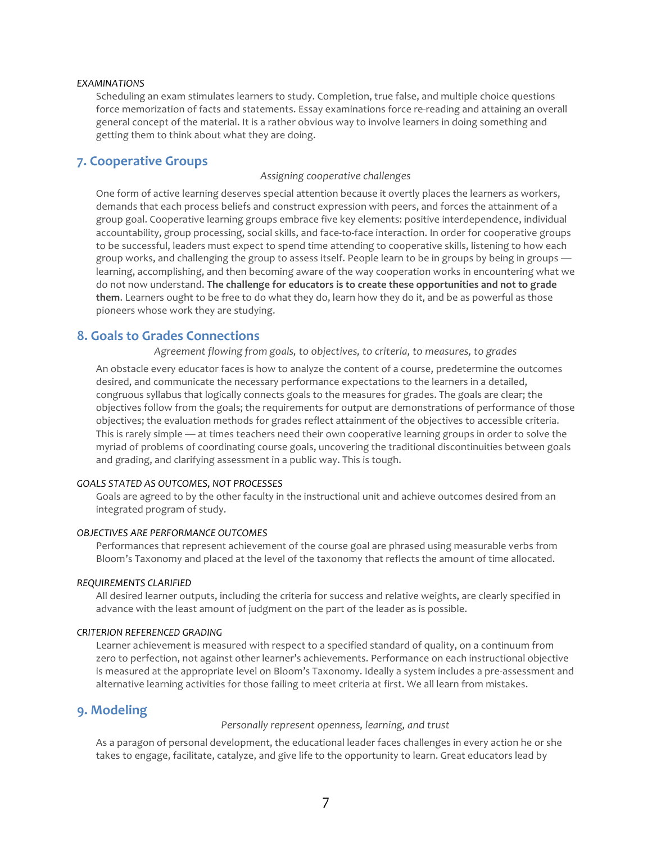# *EXAMINATIONS*

Scheduling an exam stimulates learners to study. Completion, true false, and multiple choice questions force memorization of facts and statements. Essay examinations force re-reading and attaining an overall general concept of the material. It is a rather obvious way to involve learners in doing something and getting them to think about what they are doing.

# **7. Cooperative Groups**

# *Assigning cooperative challenges*

One form of active learning deserves special attention because it overtly places the learners as workers, demands that each process beliefs and construct expression with peers, and forces the attainment of a group goal. Cooperative learning groups embrace five key elements: positive interdependence, individual accountability, group processing, social skills, and face-to-face interaction. In order for cooperative groups to be successful, leaders must expect to spend time attending to cooperative skills, listening to how each group works, and challenging the group to assess itself. People learn to be in groups by being in groups learning, accomplishing, and then becoming aware of the way cooperation works in encountering what we do not now understand. The challenge for educators is to create these opportunities and not to grade **them**. Learners ought to be free to do what they do, learn how they do it, and be as powerful as those pioneers whose work they are studying.

# **8. Goals to Grades Connections**

Agreement flowing from goals, to objectives, to criteria, to measures, to grades

An obstacle every educator faces is how to analyze the content of a course, predetermine the outcomes desired, and communicate the necessary performance expectations to the learners in a detailed, congruous syllabus that logically connects goals to the measures for grades. The goals are clear; the objectives follow from the goals; the requirements for output are demonstrations of performance of those objectives; the evaluation methods for grades reflect attainment of the objectives to accessible criteria. This is rarely simple — at times teachers need their own cooperative learning groups in order to solve the myriad of problems of coordinating course goals, uncovering the traditional discontinuities between goals and grading, and clarifying assessment in a public way. This is tough.

# *GOALS STATED AS OUTCOMES, NOT PROCESSES*

Goals are agreed to by the other faculty in the instructional unit and achieve outcomes desired from an integrated program of study.

# *OBJECTIVES ARE PERFORMANCE OUTCOMES*

Performances that represent achievement of the course goal are phrased using measurable verbs from Bloom's Taxonomy and placed at the level of the taxonomy that reflects the amount of time allocated.

#### *REQUIREMENTS CLARIFIED*

All desired learner outputs, including the criteria for success and relative weights, are clearly specified in advance with the least amount of judgment on the part of the leader as is possible.

#### *CRITERION REFERENCED GRADING*

Learner achievement is measured with respect to a specified standard of quality, on a continuum from zero to perfection, not against other learner's achievements. Performance on each instructional objective is measured at the appropriate level on Bloom's Taxonomy. Ideally a system includes a pre-assessment and alternative learning activities for those failing to meet criteria at first. We all learn from mistakes.

# **9. Modeling**

#### Personally represent openness, learning, and trust

As a paragon of personal development, the educational leader faces challenges in every action he or she takes to engage, facilitate, catalyze, and give life to the opportunity to learn. Great educators lead by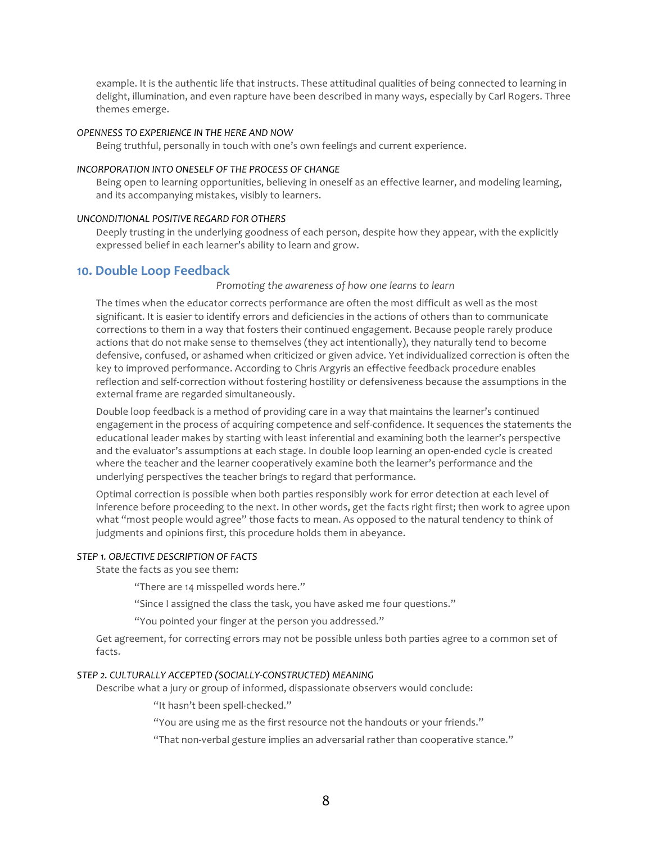example. It is the authentic life that instructs. These attitudinal qualities of being connected to learning in delight, illumination, and even rapture have been described in many ways, especially by Carl Rogers. Three themes emerge.

#### *OPENNESS TO EXPERIENCE IN THE HERE AND NOW*

Being truthful, personally in touch with one's own feelings and current experience.

# **INCORPORATION INTO ONESELF OF THE PROCESS OF CHANGE**

Being open to learning opportunities, believing in oneself as an effective learner, and modeling learning, and its accompanying mistakes, visibly to learners.

# *UNCONDITIONAL POSITIVE REGARD FOR OTHERS*

Deeply trusting in the underlying goodness of each person, despite how they appear, with the explicitly expressed belief in each learner's ability to learn and grow.

# **10. Double Loop Feedback**

### *Promoting the awareness of how one learns to learn*

The times when the educator corrects performance are often the most difficult as well as the most significant. It is easier to identify errors and deficiencies in the actions of others than to communicate corrections to them in a way that fosters their continued engagement. Because people rarely produce actions that do not make sense to themselves (they act intentionally), they naturally tend to become defensive, confused, or ashamed when criticized or given advice. Yet individualized correction is often the key to improved performance. According to Chris Argyris an effective feedback procedure enables reflection and self-correction without fostering hostility or defensiveness because the assumptions in the external frame are regarded simultaneously.

Double loop feedback is a method of providing care in a way that maintains the learner's continued engagement in the process of acquiring competence and self-confidence. It sequences the statements the educational leader makes by starting with least inferential and examining both the learner's perspective and the evaluator's assumptions at each stage. In double loop learning an open-ended cycle is created where the teacher and the learner cooperatively examine both the learner's performance and the underlying perspectives the teacher brings to regard that performance.

Optimal correction is possible when both parties responsibly work for error detection at each level of inference before proceeding to the next. In other words, get the facts right first; then work to agree upon what "most people would agree" those facts to mean. As opposed to the natural tendency to think of judgments and opinions first, this procedure holds them in abeyance.

# *STEP 1. OBJECTIVE DESCRIPTION OF FACTS*

State the facts as you see them:

"There are 14 misspelled words here."

"Since I assigned the class the task, you have asked me four questions."

"You pointed your finger at the person you addressed."

Get agreement, for correcting errors may not be possible unless both parties agree to a common set of facts.

# STEP 2. CULTURALLY ACCEPTED (SOCIALLY-CONSTRUCTED) MEANING

Describe what a jury or group of informed, dispassionate observers would conclude:

"It hasn't been spell-checked."

"You are using me as the first resource not the handouts or your friends."

"That non-verbal gesture implies an adversarial rather than cooperative stance."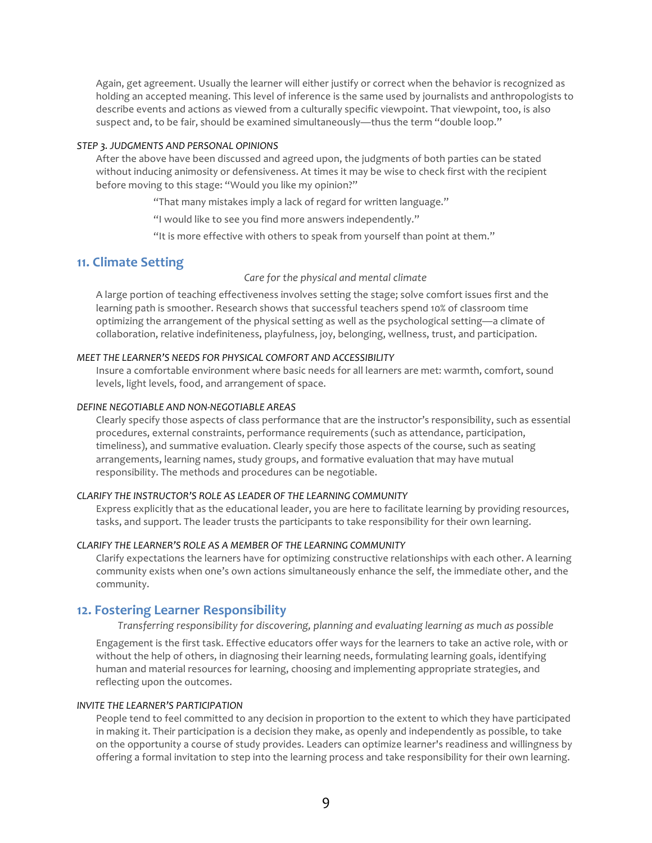Again, get agreement. Usually the learner will either justify or correct when the behavior is recognized as holding an accepted meaning. This level of inference is the same used by journalists and anthropologists to describe events and actions as viewed from a culturally specific viewpoint. That viewpoint, too, is also suspect and, to be fair, should be examined simultaneously—thus the term "double loop."

# *STEP 3. JUDGMENTS AND PERSONAL OPINIONS*

After the above have been discussed and agreed upon, the judgments of both parties can be stated without inducing animosity or defensiveness. At times it may be wise to check first with the recipient before moving to this stage: "Would you like my opinion?"

"That many mistakes imply a lack of regard for written language."

"I would like to see you find more answers independently."

"It is more effective with others to speak from yourself than point at them."

# **11. Climate Setting**

Care for the physical and mental climate

A large portion of teaching effectiveness involves setting the stage; solve comfort issues first and the learning path is smoother. Research shows that successful teachers spend 10% of classroom time optimizing the arrangement of the physical setting as well as the psychological setting—a climate of collaboration, relative indefiniteness, playfulness, joy, belonging, wellness, trust, and participation.

# *MEET THE LEARNER'S NEEDS FOR PHYSICAL COMFORT AND ACCESSIBILITY*

Insure a comfortable environment where basic needs for all learners are met: warmth, comfort, sound levels, light levels, food, and arrangement of space.

### *DEFINE NEGOTIABLE AND NON-NEGOTIABLE AREAS*

Clearly specify those aspects of class performance that are the instructor's responsibility, such as essential procedures, external constraints, performance requirements (such as attendance, participation, timeliness), and summative evaluation. Clearly specify those aspects of the course, such as seating arrangements, learning names, study groups, and formative evaluation that may have mutual responsibility. The methods and procedures can be negotiable.

# *CLARIFY THE INSTRUCTOR'S ROLE AS LEADER OF THE LEARNING COMMUNITY*

Express explicitly that as the educational leader, you are here to facilitate learning by providing resources, tasks, and support. The leader trusts the participants to take responsibility for their own learning.

# *CLARIFY THE LEARNER'S ROLE AS A MEMBER OF THE LEARNING COMMUNITY*

Clarify expectations the learners have for optimizing constructive relationships with each other. A learning community exists when one's own actions simultaneously enhance the self, the immediate other, and the community.

# **12. Fostering Learner Responsibility**

*Transferring responsibility* for discovering, planning and evaluating learning as much as possible

Engagement is the first task. Effective educators offer ways for the learners to take an active role, with or without the help of others, in diagnosing their learning needs, formulating learning goals, identifying human and material resources for learning, choosing and implementing appropriate strategies, and reflecting upon the outcomes.

#### **INVITE THE LEARNER'S PARTICIPATION**

People tend to feel committed to any decision in proportion to the extent to which they have participated in making it. Their participation is a decision they make, as openly and independently as possible, to take on the opportunity a course of study provides. Leaders can optimize learner's readiness and willingness by offering a formal invitation to step into the learning process and take responsibility for their own learning.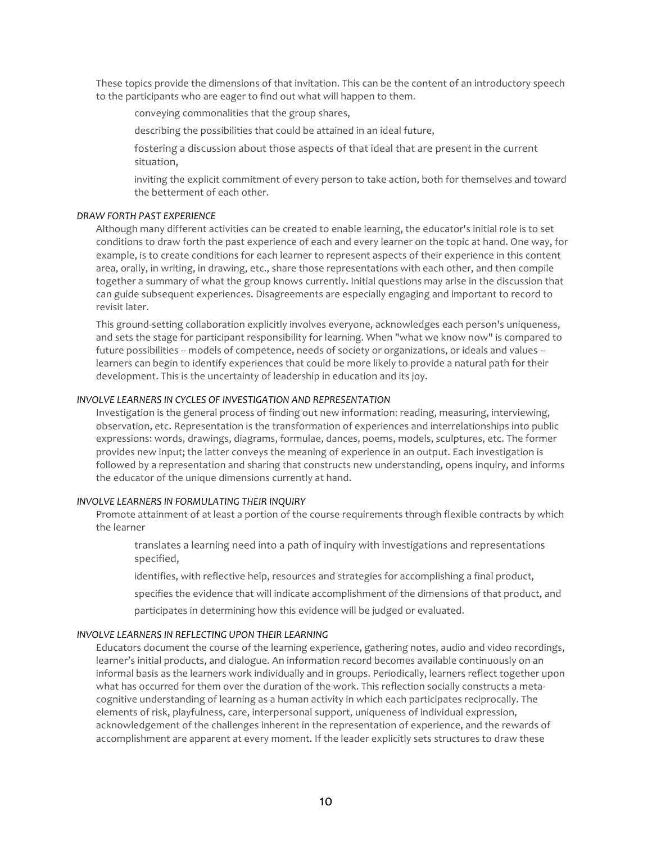These topics provide the dimensions of that invitation. This can be the content of an introductory speech to the participants who are eager to find out what will happen to them.

conveying commonalities that the group shares,

describing the possibilities that could be attained in an ideal future,

fostering a discussion about those aspects of that ideal that are present in the current situation,

inviting the explicit commitment of every person to take action, both for themselves and toward the betterment of each other.

# *DRAW FORTH PAST EXPERIENCE*

Although many different activities can be created to enable learning, the educator's initial role is to set conditions to draw forth the past experience of each and every learner on the topic at hand. One way, for example, is to create conditions for each learner to represent aspects of their experience in this content area, orally, in writing, in drawing, etc., share those representations with each other, and then compile together a summary of what the group knows currently. Initial questions may arise in the discussion that can guide subsequent experiences. Disagreements are especially engaging and important to record to revisit later.

This ground-setting collaboration explicitly involves everyone, acknowledges each person's uniqueness, and sets the stage for participant responsibility for learning. When "what we know now" is compared to future possibilities -- models of competence, needs of society or organizations, or ideals and values -learners can begin to identify experiences that could be more likely to provide a natural path for their development. This is the uncertainty of leadership in education and its joy.

# **INVOLVE LEARNERS IN CYCLES OF INVESTIGATION AND REPRESENTATION**

Investigation is the general process of finding out new information: reading, measuring, interviewing, observation, etc. Representation is the transformation of experiences and interrelationships into public expressions: words, drawings, diagrams, formulae, dances, poems, models, sculptures, etc. The former provides new input; the latter conveys the meaning of experience in an output. Each investigation is followed by a representation and sharing that constructs new understanding, opens inquiry, and informs the educator of the unique dimensions currently at hand.

# **INVOLVE LEARNERS IN FORMULATING THEIR INQUIRY**

Promote attainment of at least a portion of the course requirements through flexible contracts by which the learner

translates a learning need into a path of inquiry with investigations and representations specified,

identifies, with reflective help, resources and strategies for accomplishing a final product,

specifies the evidence that will indicate accomplishment of the dimensions of that product, and

participates in determining how this evidence will be judged or evaluated.

#### **INVOLVE LEARNERS IN REFLECTING UPON THEIR LEARNING**

Educators document the course of the learning experience, gathering notes, audio and video recordings, learner's initial products, and dialogue. An information record becomes available continuously on an informal basis as the learners work individually and in groups. Periodically, learners reflect together upon what has occurred for them over the duration of the work. This reflection socially constructs a metacognitive understanding of learning as a human activity in which each participates reciprocally. The elements of risk, playfulness, care, interpersonal support, uniqueness of individual expression, acknowledgement of the challenges inherent in the representation of experience, and the rewards of accomplishment are apparent at every moment. If the leader explicitly sets structures to draw these